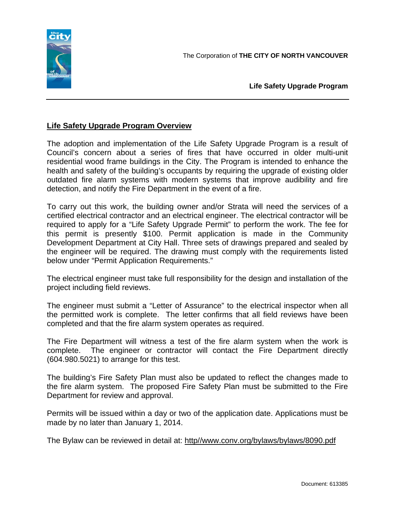

**Life Safety Upgrade Program** 

## **Life Safety Upgrade Program Overview**

The adoption and implementation of the Life Safety Upgrade Program is a result of Council's concern about a series of fires that have occurred in older multi-unit residential wood frame buildings in the City. The Program is intended to enhance the health and safety of the building's occupants by requiring the upgrade of existing older outdated fire alarm systems with modern systems that improve audibility and fire detection, and notify the Fire Department in the event of a fire.

To carry out this work, the building owner and/or Strata will need the services of a certified electrical contractor and an electrical engineer. The electrical contractor will be required to apply for a "Life Safety Upgrade Permit" to perform the work. The fee for this permit is presently \$100. Permit application is made in the Community Development Department at City Hall. Three sets of drawings prepared and sealed by the engineer will be required. The drawing must comply with the requirements listed below under "Permit Application Requirements."

The electrical engineer must take full responsibility for the design and installation of the project including field reviews.

The engineer must submit a "Letter of Assurance" to the electrical inspector when all the permitted work is complete. The letter confirms that all field reviews have been completed and that the fire alarm system operates as required.

The Fire Department will witness a test of the fire alarm system when the work is complete. The engineer or contractor will contact the Fire Department directly (604.980.5021) to arrange for this test.

The building's Fire Safety Plan must also be updated to reflect the changes made to the fire alarm system. The proposed Fire Safety Plan must be submitted to the Fire Department for review and approval.

Permits will be issued within a day or two of the application date. Applications must be made by no later than January 1, 2014.

The Bylaw can be reviewed in detail at: http//www.conv.org/bylaws/bylaws/8090.pdf